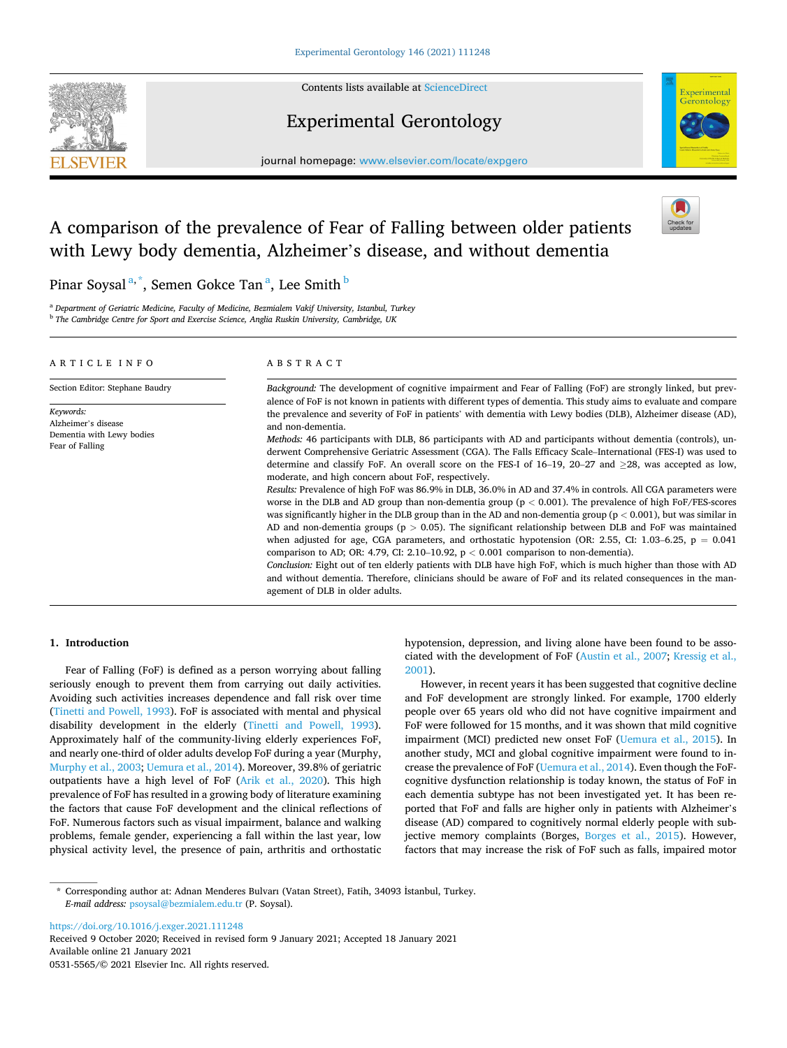

Contents lists available at [ScienceDirect](www.sciencedirect.com/science/journal/05315565)

## Experimental Gerontology



journal homepage: [www.elsevier.com/locate/expgero](https://www.elsevier.com/locate/expgero) 

# A comparison of the prevalence of Fear of Falling between older patients with Lewy body dementia, Alzheimer's disease, and without dementia



Pinar Soysal <sup>a,\*</sup>, Semen Gokce Tan <sup>a</sup>, Lee Smith <sup>b</sup>

<sup>a</sup> *Department of Geriatric Medicine, Faculty of Medicine, Bezmialem Vakif University, Istanbul, Turkey* <sup>b</sup> *The Cambridge Centre for Sport and Exercise Science, Anglia Ruskin University, Cambridge, UK* 

| ARTICLE INFO                                                                     | ABSTRACT                                                                                                                                                                                                                                                                                                                                                                                                                                                                                                                                                                                                                                                              |  |  |  |  |
|----------------------------------------------------------------------------------|-----------------------------------------------------------------------------------------------------------------------------------------------------------------------------------------------------------------------------------------------------------------------------------------------------------------------------------------------------------------------------------------------------------------------------------------------------------------------------------------------------------------------------------------------------------------------------------------------------------------------------------------------------------------------|--|--|--|--|
| Section Editor: Stephane Baudry                                                  | Background: The development of cognitive impairment and Fear of Falling (FoF) are strongly linked, but prev-<br>alence of FoF is not known in patients with different types of dementia. This study aims to evaluate and compare                                                                                                                                                                                                                                                                                                                                                                                                                                      |  |  |  |  |
| Keywords:<br>Alzheimer's disease<br>Dementia with Lewy bodies<br>Fear of Falling | the prevalence and severity of FoF in patients' with dementia with Lewy bodies (DLB), Alzheimer disease (AD),<br>and non-dementia.                                                                                                                                                                                                                                                                                                                                                                                                                                                                                                                                    |  |  |  |  |
|                                                                                  | <i>Methods:</i> 46 participants with DLB, 86 participants with AD and participants without dementia (controls), un-<br>derwent Comprehensive Geriatric Assessment (CGA). The Falls Efficacy Scale–International (FES-I) was used to<br>determine and classify FoF. An overall score on the FES-I of $16-19$ , $20-27$ and $>28$ , was accepted as low,<br>moderate, and high concern about FoF, respectively.                                                                                                                                                                                                                                                         |  |  |  |  |
|                                                                                  | Results: Prevalence of high FoF was 86.9% in DLB, 36.0% in AD and 37.4% in controls. All CGA parameters were<br>worse in the DLB and AD group than non-dementia group ( $p < 0.001$ ). The prevalence of high FoF/FES-scores<br>was significantly higher in the DLB group than in the AD and non-dementia group ( $p < 0.001$ ), but was similar in<br>AD and non-dementia groups ( $p > 0.05$ ). The significant relationship between DLB and FoF was maintained<br>when adjusted for age, CGA parameters, and orthostatic hypotension (OR: 2.55, CI: 1.03–6.25, $p = 0.041$<br>comparison to AD; OR: 4.79, CI: 2.10–10.92, $p < 0.001$ comparison to non-dementia). |  |  |  |  |
|                                                                                  | Conclusion: Eight out of ten elderly patients with DLB have high FoF, which is much higher than those with AD<br>and without dementia. Therefore, clinicians should be aware of FoF and its related consequences in the man-<br>agement of DLB in older adults.                                                                                                                                                                                                                                                                                                                                                                                                       |  |  |  |  |

## **1. Introduction**

Fear of Falling (FoF) is defined as a person worrying about falling seriously enough to prevent them from carrying out daily activities. Avoiding such activities increases dependence and fall risk over time ([Tinetti and Powell, 1993\)](#page-4-0). FoF is associated with mental and physical disability development in the elderly [\(Tinetti and Powell, 1993](#page-4-0)). Approximately half of the community-living elderly experiences FoF, and nearly one-third of older adults develop FoF during a year (Murphy, [Murphy et al., 2003; Uemura et al., 2014](#page-4-0)). Moreover, 39.8% of geriatric outpatients have a high level of FoF ([Arik et al., 2020\)](#page-3-0). This high prevalence of FoF has resulted in a growing body of literature examining the factors that cause FoF development and the clinical reflections of FoF. Numerous factors such as visual impairment, balance and walking problems, female gender, experiencing a fall within the last year, low physical activity level, the presence of pain, arthritis and orthostatic hypotension, depression, and living alone have been found to be associated with the development of FoF [\(Austin et al., 2007](#page-3-0); [Kressig et al.,](#page-4-0)  [2001\)](#page-4-0).

However, in recent years it has been suggested that cognitive decline and FoF development are strongly linked. For example, 1700 elderly people over 65 years old who did not have cognitive impairment and FoF were followed for 15 months, and it was shown that mild cognitive impairment (MCI) predicted new onset FoF [\(Uemura et al., 2015](#page-4-0)). In another study, MCI and global cognitive impairment were found to increase the prevalence of FoF ([Uemura et al., 2014](#page-4-0)). Even though the FoFcognitive dysfunction relationship is today known, the status of FoF in each dementia subtype has not been investigated yet. It has been reported that FoF and falls are higher only in patients with Alzheimer's disease (AD) compared to cognitively normal elderly people with subjective memory complaints (Borges, [Borges et al., 2015](#page-3-0)). However, factors that may increase the risk of FoF such as falls, impaired motor

<https://doi.org/10.1016/j.exger.2021.111248>

Available online 21 January 2021 0531-5565/© 2021 Elsevier Inc. All rights reserved. Received 9 October 2020; Received in revised form 9 January 2021; Accepted 18 January 2021

<sup>\*</sup> Corresponding author at: Adnan Menderes Bulvarı (Vatan Street), Fatih, 34093 ˙ Istanbul, Turkey. *E-mail address:* [psoysal@bezmialem.edu.tr](mailto:psoysal@bezmialem.edu.tr) (P. Soysal).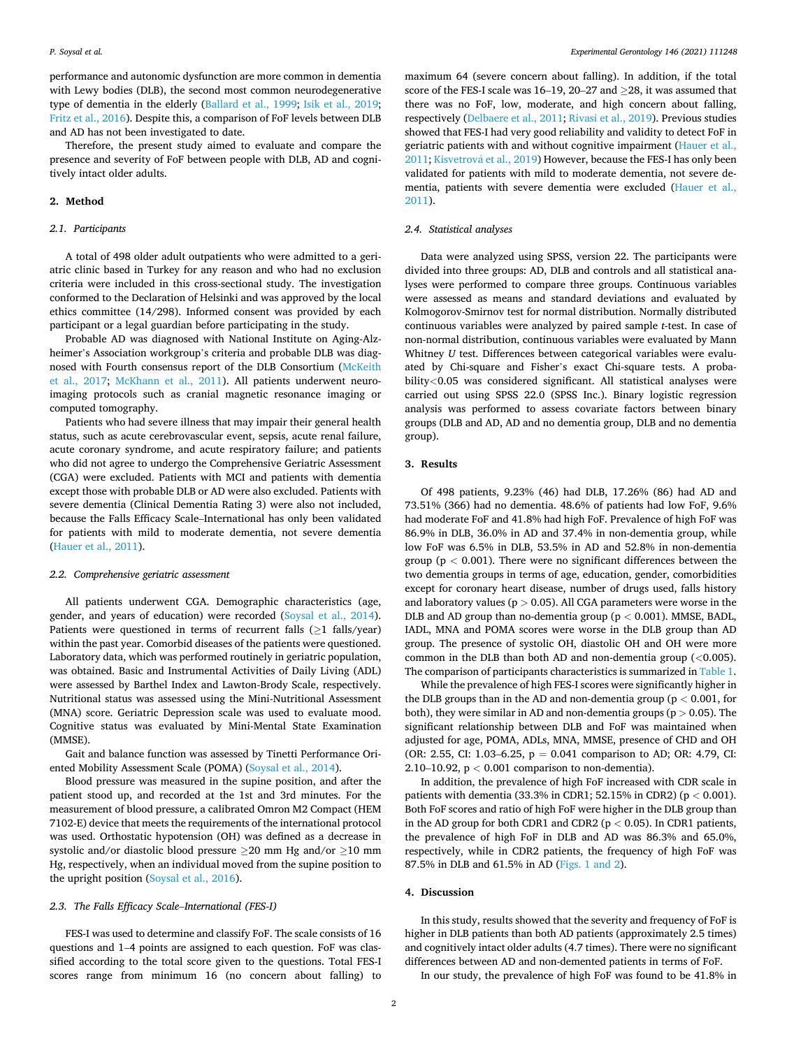performance and autonomic dysfunction are more common in dementia with Lewy bodies (DLB), the second most common neurodegenerative type of dementia in the elderly [\(Ballard et al., 1999;](#page-3-0) [Isik et al., 2019](#page-4-0); [Fritz et al., 2016](#page-3-0)). Despite this, a comparison of FoF levels between DLB and AD has not been investigated to date.

Therefore, the present study aimed to evaluate and compare the presence and severity of FoF between people with DLB, AD and cognitively intact older adults.

#### **2. Method**

## *2.1. Participants*

A total of 498 older adult outpatients who were admitted to a geriatric clinic based in Turkey for any reason and who had no exclusion criteria were included in this cross-sectional study. The investigation conformed to the Declaration of Helsinki and was approved by the local ethics committee (14/298). Informed consent was provided by each participant or a legal guardian before participating in the study.

Probable AD was diagnosed with National Institute on Aging-Alzheimer's Association workgroup's criteria and probable DLB was diagnosed with Fourth consensus report of the DLB Consortium [\(McKeith](#page-4-0)  [et al., 2017](#page-4-0); [McKhann et al., 2011](#page-4-0)). All patients underwent neuroimaging protocols such as cranial magnetic resonance imaging or computed tomography.

Patients who had severe illness that may impair their general health status, such as acute cerebrovascular event, sepsis, acute renal failure, acute coronary syndrome, and acute respiratory failure; and patients who did not agree to undergo the Comprehensive Geriatric Assessment (CGA) were excluded. Patients with MCI and patients with dementia except those with probable DLB or AD were also excluded. Patients with severe dementia (Clinical Dementia Rating 3) were also not included, because the Falls Efficacy Scale–International has only been validated for patients with mild to moderate dementia, not severe dementia ([Hauer et al., 2011\)](#page-4-0).

#### *2.2. Comprehensive geriatric assessment*

All patients underwent CGA. Demographic characteristics (age, gender, and years of education) were recorded [\(Soysal et al., 2014](#page-4-0)). Patients were questioned in terms of recurrent falls  $(\geq 1$  falls/year) within the past year. Comorbid diseases of the patients were questioned. Laboratory data, which was performed routinely in geriatric population, was obtained. Basic and Instrumental Activities of Daily Living (ADL) were assessed by Barthel Index and Lawton-Brody Scale, respectively. Nutritional status was assessed using the Mini-Nutritional Assessment (MNA) score. Geriatric Depression scale was used to evaluate mood. Cognitive status was evaluated by Mini-Mental State Examination (MMSE).

Gait and balance function was assessed by Tinetti Performance Oriented Mobility Assessment Scale (POMA) ([Soysal et al., 2014\)](#page-4-0).

Blood pressure was measured in the supine position, and after the patient stood up, and recorded at the 1st and 3rd minutes. For the measurement of blood pressure, a calibrated Omron M2 Compact (HEM 7102-E) device that meets the requirements of the international protocol was used. Orthostatic hypotension (OH) was defined as a decrease in systolic and/or diastolic blood pressure  $\geq$ 20 mm Hg and/or  $\geq$ 10 mm Hg, respectively, when an individual moved from the supine position to the upright position [\(Soysal et al., 2016](#page-4-0)).

### *2.3. The Falls Efficacy Scale*–*International (FES-I)*

FES-I was used to determine and classify FoF. The scale consists of 16 questions and 1–4 points are assigned to each question. FoF was classified according to the total score given to the questions. Total FES-I scores range from minimum 16 (no concern about falling) to

maximum 64 (severe concern about falling). In addition, if the total score of the FES-I scale was 16–19, 20–27 and  $\geq$ 28, it was assumed that there was no FoF, low, moderate, and high concern about falling, respectively ([Delbaere et al., 2011](#page-3-0); [Rivasi et al., 2019\)](#page-4-0). Previous studies showed that FES-I had very good reliability and validity to detect FoF in geriatric patients with and without cognitive impairment ([Hauer et al.,](#page-4-0)  [2011;](#page-4-0) Kisvetrová et al., 2019) However, because the FES-I has only been validated for patients with mild to moderate dementia, not severe dementia, patients with severe dementia were excluded ([Hauer et al.,](#page-4-0)  [2011\)](#page-4-0).

## *2.4. Statistical analyses*

Data were analyzed using SPSS, version 22. The participants were divided into three groups: AD, DLB and controls and all statistical analyses were performed to compare three groups. Continuous variables were assessed as means and standard deviations and evaluated by Kolmogorov-Smirnov test for normal distribution. Normally distributed continuous variables were analyzed by paired sample *t*-test. In case of non-normal distribution, continuous variables were evaluated by Mann Whitney *U* test. Differences between categorical variables were evaluated by Chi-square and Fisher's exact Chi-square tests. A probability*<*0.05 was considered significant. All statistical analyses were carried out using SPSS 22.0 (SPSS Inc.). Binary logistic regression analysis was performed to assess covariate factors between binary groups (DLB and AD, AD and no dementia group, DLB and no dementia group).

## **3. Results**

Of 498 patients, 9.23% (46) had DLB, 17.26% (86) had AD and 73.51% (366) had no dementia. 48.6% of patients had low FoF, 9.6% had moderate FoF and 41.8% had high FoF. Prevalence of high FoF was 86.9% in DLB, 36.0% in AD and 37.4% in non-dementia group, while low FoF was 6.5% in DLB, 53.5% in AD and 52.8% in non-dementia group (p *<* 0.001). There were no significant differences between the two dementia groups in terms of age, education, gender, comorbidities except for coronary heart disease, number of drugs used, falls history and laboratory values (p *>* 0.05). All CGA parameters were worse in the DLB and AD group than no-dementia group (p *<* 0.001). MMSE, BADL, IADL, MNA and POMA scores were worse in the DLB group than AD group. The presence of systolic OH, diastolic OH and OH were more common in the DLB than both AD and non-dementia group (*<*0.005). The comparison of participants characteristics is summarized in [Table 1](#page-2-0).

While the prevalence of high FES-I scores were significantly higher in the DLB groups than in the AD and non-dementia group (p *<* 0.001, for both), they were similar in AD and non-dementia groups (p *>* 0.05). The significant relationship between DLB and FoF was maintained when adjusted for age, POMA, ADLs, MNA, MMSE, presence of CHD and OH (OR: 2.55, CI: 1.03–6.25,  $p = 0.041$  comparison to AD; OR: 4.79, CI: 2.10–10.92, p *<* 0.001 comparison to non-dementia).

In addition, the prevalence of high FoF increased with CDR scale in patients with dementia (33.3% in CDR1; 52.15% in CDR2) (p *<* 0.001). Both FoF scores and ratio of high FoF were higher in the DLB group than in the AD group for both CDR1 and CDR2 (p *<* 0.05). In CDR1 patients, the prevalence of high FoF in DLB and AD was 86.3% and 65.0%, respectively, while in CDR2 patients, the frequency of high FoF was 87.5% in DLB and 61.5% in AD ([Figs. 1 and 2](#page-2-0)).

#### **4. Discussion**

In this study, results showed that the severity and frequency of FoF is higher in DLB patients than both AD patients (approximately 2.5 times) and cognitively intact older adults (4.7 times). There were no significant differences between AD and non-demented patients in terms of FoF.

In our study, the prevalence of high FoF was found to be 41.8% in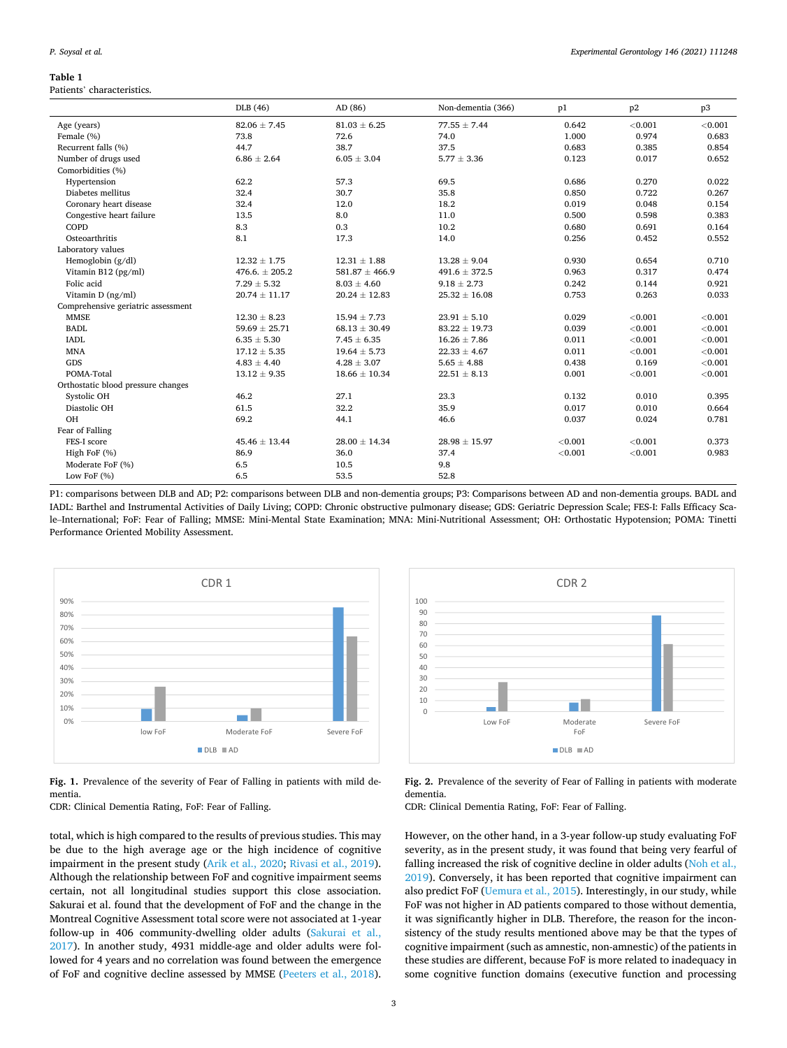#### <span id="page-2-0"></span>**Table 1**

#### Patients' characteristics.

|                                    | DLB (46)           | AD (86)            | Non-dementia (366) | p1      | p2      | p3      |
|------------------------------------|--------------------|--------------------|--------------------|---------|---------|---------|
| Age (years)                        | $82.06 \pm 7.45$   | $81.03 \pm 6.25$   | $77.55 \pm 7.44$   | 0.642   | < 0.001 | < 0.001 |
| Female (%)                         | 73.8               | 72.6               | 74.0               | 1.000   | 0.974   | 0.683   |
| Recurrent falls (%)                | 44.7               | 38.7               | 37.5               | 0.683   | 0.385   | 0.854   |
| Number of drugs used               | $6.86 \pm 2.64$    | $6.05 \pm 3.04$    | $5.77 \pm 3.36$    | 0.123   | 0.017   | 0.652   |
| Comorbidities (%)                  |                    |                    |                    |         |         |         |
| Hypertension                       | 62.2               | 57.3               | 69.5               | 0.686   | 0.270   | 0.022   |
| Diabetes mellitus                  | 32.4               | 30.7               | 35.8               | 0.850   | 0.722   | 0.267   |
| Coronary heart disease             | 32.4               | 12.0               | 18.2               | 0.019   | 0.048   | 0.154   |
| Congestive heart failure           | 13.5               | 8.0                | 11.0               | 0.500   | 0.598   | 0.383   |
| COPD                               | 8.3                | 0.3                | 10.2               | 0.680   | 0.691   | 0.164   |
| Osteoarthritis                     | 8.1                | 17.3               | 14.0               | 0.256   | 0.452   | 0.552   |
| Laboratory values                  |                    |                    |                    |         |         |         |
| Hemoglobin $(g/dl)$                | $12.32 \pm 1.75$   | $12.31 \pm 1.88$   | $13.28 \pm 9.04$   | 0.930   | 0.654   | 0.710   |
| Vitamin B12 (pg/ml)                | $476.6. \pm 205.2$ | $581.87 \pm 466.9$ | $491.6 \pm 372.5$  | 0.963   | 0.317   | 0.474   |
| Folic acid                         | $7.29 \pm 5.32$    | $8.03 \pm 4.60$    | $9.18 \pm 2.73$    | 0.242   | 0.144   | 0.921   |
| Vitamin $D$ (ng/ml)                | $20.74 \pm 11.17$  | $20.24 \pm 12.83$  | $25.32 \pm 16.08$  | 0.753   | 0.263   | 0.033   |
| Comprehensive geriatric assessment |                    |                    |                    |         |         |         |
| <b>MMSE</b>                        | $12.30 \pm 8.23$   | $15.94 \pm 7.73$   | $23.91 \pm 5.10$   | 0.029   | < 0.001 | < 0.001 |
| <b>BADL</b>                        | $59.69 \pm 25.71$  | $68.13 \pm 30.49$  | $83.22 \pm 19.73$  | 0.039   | < 0.001 | < 0.001 |
| <b>IADL</b>                        | $6.35 \pm 5.30$    | $7.45 \pm 6.35$    | $16.26 \pm 7.86$   | 0.011   | < 0.001 | < 0.001 |
| <b>MNA</b>                         | $17.12 \pm 5.35$   | $19.64 \pm 5.73$   | $22.33 \pm 4.67$   | 0.011   | < 0.001 | < 0.001 |
| GDS                                | $4.83 \pm 4.40$    | $4.28 \pm 3.07$    | $5.65 \pm 4.88$    | 0.438   | 0.169   | < 0.001 |
| POMA-Total                         | $13.12 \pm 9.35$   | $18.66 \pm 10.34$  | $22.51 \pm 8.13$   | 0.001   | < 0.001 | < 0.001 |
| Orthostatic blood pressure changes |                    |                    |                    |         |         |         |
| Systolic OH                        | 46.2               | 27.1               | 23.3               | 0.132   | 0.010   | 0.395   |
| Diastolic OH                       | 61.5               | 32.2               | 35.9               | 0.017   | 0.010   | 0.664   |
| OH                                 | 69.2               | 44.1               | 46.6               | 0.037   | 0.024   | 0.781   |
| Fear of Falling                    |                    |                    |                    |         |         |         |
| FES-I score                        | $45.46 \pm 13.44$  | $28.00 \pm 14.34$  | $28.98 \pm 15.97$  | < 0.001 | < 0.001 | 0.373   |
| High FoF (%)                       | 86.9               | 36.0               | 37.4               | < 0.001 | < 0.001 | 0.983   |
| Moderate FoF (%)                   | 6.5                | 10.5               | 9.8                |         |         |         |
| Low FoF (%)                        | 6.5                | 53.5               | 52.8               |         |         |         |

P1: comparisons between DLB and AD; P2: comparisons between DLB and non-dementia groups; P3: Comparisons between AD and non-dementia groups. BADL and IADL: Barthel and Instrumental Activities of Daily Living; COPD: Chronic obstructive pulmonary disease; GDS: Geriatric Depression Scale; FES-I: Falls Efficacy Scale–International; FoF: Fear of Falling; MMSE: Mini-Mental State Examination; MNA: Mini-Nutritional Assessment; OH: Orthostatic Hypotension; POMA: Tinetti Performance Oriented Mobility Assessment.



**Fig. 1.** Prevalence of the severity of Fear of Falling in patients with mild dementia.

CDR: Clinical Dementia Rating, FoF: Fear of Falling.

total, which is high compared to the results of previous studies. This may be due to the high average age or the high incidence of cognitive impairment in the present study ([Arik et al., 2020;](#page-3-0) [Rivasi et al., 2019](#page-4-0)). Although the relationship between FoF and cognitive impairment seems certain, not all longitudinal studies support this close association. Sakurai et al. found that the development of FoF and the change in the Montreal Cognitive Assessment total score were not associated at 1-year follow-up in 406 community-dwelling older adults [\(Sakurai et al.,](#page-4-0)  [2017\)](#page-4-0). In another study, 4931 middle-age and older adults were followed for 4 years and no correlation was found between the emergence of FoF and cognitive decline assessed by MMSE [\(Peeters et al., 2018](#page-4-0)).



**Fig. 2.** Prevalence of the severity of Fear of Falling in patients with moderate dementia.

CDR: Clinical Dementia Rating, FoF: Fear of Falling.

However, on the other hand, in a 3-year follow-up study evaluating FoF severity, as in the present study, it was found that being very fearful of falling increased the risk of cognitive decline in older adults [\(Noh et al.,](#page-4-0)  [2019\)](#page-4-0). Conversely, it has been reported that cognitive impairment can also predict FoF [\(Uemura et al., 2015](#page-4-0)). Interestingly, in our study, while FoF was not higher in AD patients compared to those without dementia, it was significantly higher in DLB. Therefore, the reason for the inconsistency of the study results mentioned above may be that the types of cognitive impairment (such as amnestic, non-amnestic) of the patients in these studies are different, because FoF is more related to inadequacy in some cognitive function domains (executive function and processing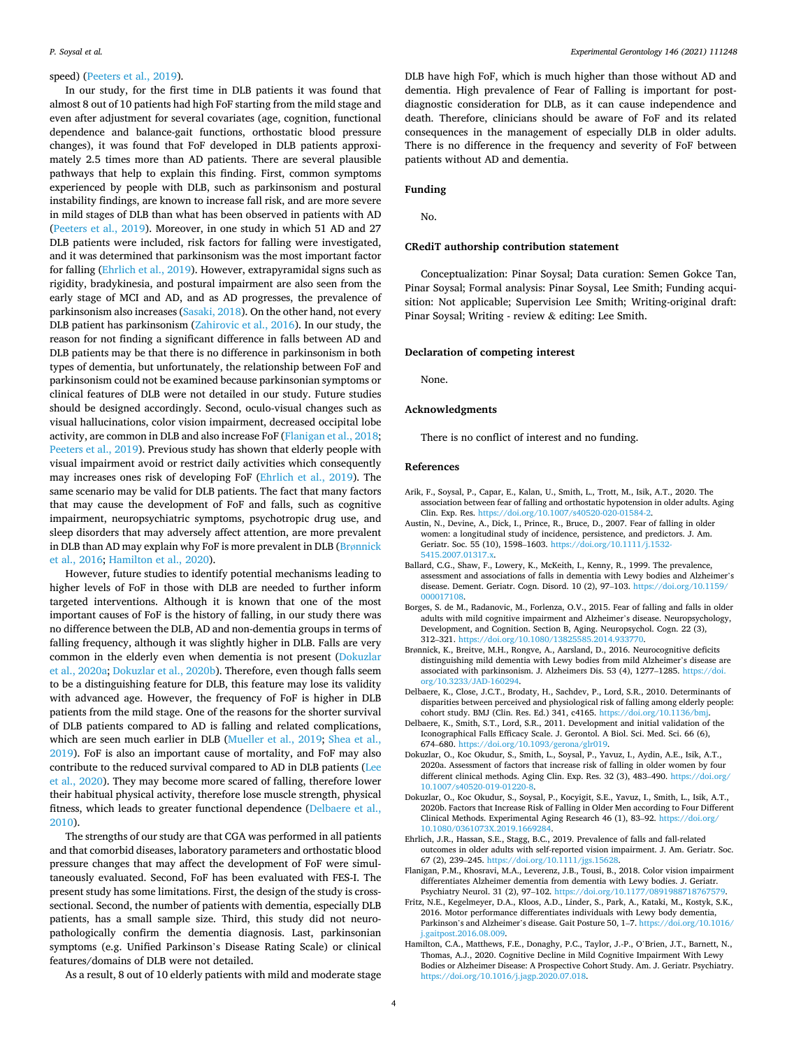## <span id="page-3-0"></span>speed) ([Peeters et al., 2019\)](#page-4-0).

In our study, for the first time in DLB patients it was found that almost 8 out of 10 patients had high FoF starting from the mild stage and even after adjustment for several covariates (age, cognition, functional dependence and balance-gait functions, orthostatic blood pressure changes), it was found that FoF developed in DLB patients approximately 2.5 times more than AD patients. There are several plausible pathways that help to explain this finding. First, common symptoms experienced by people with DLB, such as parkinsonism and postural instability findings, are known to increase fall risk, and are more severe in mild stages of DLB than what has been observed in patients with AD ([Peeters et al., 2019\)](#page-4-0). Moreover, in one study in which 51 AD and 27 DLB patients were included, risk factors for falling were investigated, and it was determined that parkinsonism was the most important factor for falling (Ehrlich et al., 2019). However, extrapyramidal signs such as rigidity, bradykinesia, and postural impairment are also seen from the early stage of MCI and AD, and as AD progresses, the prevalence of parkinsonism also increases ([Sasaki, 2018\)](#page-4-0). On the other hand, not every DLB patient has parkinsonism ([Zahirovic et al., 2016](#page-4-0)). In our study, the reason for not finding a significant difference in falls between AD and DLB patients may be that there is no difference in parkinsonism in both types of dementia, but unfortunately, the relationship between FoF and parkinsonism could not be examined because parkinsonian symptoms or clinical features of DLB were not detailed in our study. Future studies should be designed accordingly. Second, oculo-visual changes such as visual hallucinations, color vision impairment, decreased occipital lobe activity, are common in DLB and also increase FoF (Flanigan et al., 2018; [Peeters et al., 2019\)](#page-4-0). Previous study has shown that elderly people with visual impairment avoid or restrict daily activities which consequently may increases ones risk of developing FoF (Ehrlich et al., 2019). The same scenario may be valid for DLB patients. The fact that many factors that may cause the development of FoF and falls, such as cognitive impairment, neuropsychiatric symptoms, psychotropic drug use, and sleep disorders that may adversely affect attention, are more prevalent in DLB than AD may explain why FoF is more prevalent in DLB (Brønnick et al., 2016; Hamilton et al., 2020).

However, future studies to identify potential mechanisms leading to higher levels of FoF in those with DLB are needed to further inform targeted interventions. Although it is known that one of the most important causes of FoF is the history of falling, in our study there was no difference between the DLB, AD and non-dementia groups in terms of falling frequency, although it was slightly higher in DLB. Falls are very common in the elderly even when dementia is not present (Dokuzlar et al., 2020a; Dokuzlar et al., 2020b). Therefore, even though falls seem to be a distinguishing feature for DLB, this feature may lose its validity with advanced age. However, the frequency of FoF is higher in DLB patients from the mild stage. One of the reasons for the shorter survival of DLB patients compared to AD is falling and related complications, which are seen much earlier in DLB ([Mueller et al., 2019;](#page-4-0) [Shea et al.,](#page-4-0)  [2019\)](#page-4-0). FoF is also an important cause of mortality, and FoF may also contribute to the reduced survival compared to AD in DLB patients ([Lee](#page-4-0)  [et al., 2020\)](#page-4-0). They may become more scared of falling, therefore lower their habitual physical activity, therefore lose muscle strength, physical fitness, which leads to greater functional dependence (Delbaere et al., 2010).

The strengths of our study are that CGA was performed in all patients and that comorbid diseases, laboratory parameters and orthostatic blood pressure changes that may affect the development of FoF were simultaneously evaluated. Second, FoF has been evaluated with FES-I. The present study has some limitations. First, the design of the study is crosssectional. Second, the number of patients with dementia, especially DLB patients, has a small sample size. Third, this study did not neuropathologically confirm the dementia diagnosis. Last, parkinsonian symptoms (e.g. Unified Parkinson's Disease Rating Scale) or clinical features/domains of DLB were not detailed.

As a result, 8 out of 10 elderly patients with mild and moderate stage

DLB have high FoF, which is much higher than those without AD and dementia. High prevalence of Fear of Falling is important for postdiagnostic consideration for DLB, as it can cause independence and death. Therefore, clinicians should be aware of FoF and its related consequences in the management of especially DLB in older adults. There is no difference in the frequency and severity of FoF between patients without AD and dementia.

#### **Funding**

No.

#### **CRediT authorship contribution statement**

Conceptualization: Pinar Soysal; Data curation: Semen Gokce Tan, Pinar Soysal; Formal analysis: Pinar Soysal, Lee Smith; Funding acquisition: Not applicable; Supervision Lee Smith; Writing-original draft: Pinar Soysal; Writing - review & editing: Lee Smith.

#### **Declaration of competing interest**

None.

#### **Acknowledgments**

There is no conflict of interest and no funding.

#### **References**

- Arik, F., Soysal, P., Capar, E., Kalan, U., Smith, L., Trott, M., Isik, A.T., 2020. The association between fear of falling and orthostatic hypotension in older adults. Aging Clin. Exp. Res. [https://doi.org/10.1007/s40520-020-01584-2.](https://doi.org/10.1007/s40520-020-01584-2)
- Austin, N., Devine, A., Dick, I., Prince, R., Bruce, D., 2007. Fear of falling in older women: a longitudinal study of incidence, persistence, and predictors. J. Am. Geriatr. Soc. 55 (10), 1598-1603. https://doi.org/10.1111/j [5415.2007.01317.x.](https://doi.org/10.1111/j.1532-5415.2007.01317.x)
- Ballard, C.G., Shaw, F., Lowery, K., McKeith, I., Kenny, R., 1999. The prevalence, assessment and associations of falls in dementia with Lewy bodies and Alzheimer's disease. Dement. Geriatr. Cogn. Disord. 10 (2), 97–103. [https://doi.org/10.1159/](https://doi.org/10.1159/000017108) [000017108.](https://doi.org/10.1159/000017108)
- Borges, S. de M., Radanovic, M., Forlenza, O.V., 2015. Fear of falling and falls in older adults with mild cognitive impairment and Alzheimer's disease. Neuropsychology, Development, and Cognition. Section B, Aging. Neuropsychol. Cogn. 22 (3), 312–321. <https://doi.org/10.1080/13825585.2014.933770>.
- Brønnick, K., Breitve, M.H., Rongve, A., Aarsland, D., 2016. Neurocognitive deficits distinguishing mild dementia with Lewy bodies from mild Alzheimer's disease are associated with parkinsonism. J. Alzheimers Dis. 53 (4), 1277–1285. [https://doi.](https://doi.org/10.3233/JAD-160294)  [org/10.3233/JAD-160294.](https://doi.org/10.3233/JAD-160294)
- Delbaere, K., Close, J.C.T., Brodaty, H., Sachdev, P., Lord, S.R., 2010. Determinants of disparities between perceived and physiological risk of falling among elderly people: cohort study. BMJ (Clin. Res. Ed.) 341, c4165. https://doi.org/10.1136/b
- Delbaere, K., Smith, S.T., Lord, S.R., 2011. Development and initial validation of the Iconographical Falls Efficacy Scale. J. Gerontol. A Biol. Sci. Med. Sci. 66 (6), 674–680. [https://doi.org/10.1093/gerona/glr019.](https://doi.org/10.1093/gerona/glr019)
- Dokuzlar, O., Koc Okudur, S., Smith, L., Soysal, P., Yavuz, I., Aydin, A.E., Isik, A.T., 2020a. Assessment of factors that increase risk of falling in older women by four different clinical methods. Aging Clin. Exp. Res. 32 (3), 483-490. [https://doi.org/](https://doi.org/10.1007/s40520-019-01220-8) [10.1007/s40520-019-01220-8.](https://doi.org/10.1007/s40520-019-01220-8)
- Dokuzlar, O., Koc Okudur, S., Soysal, P., Kocyigit, S.E., Yavuz, I., Smith, L., Isik, A.T., 2020b. Factors that Increase Risk of Falling in Older Men according to Four Different Clinical Methods. Experimental Aging Research 46 (1), 83–92. [https://doi.org/](https://doi.org/10.1080/0361073X.2019.1669284) [10.1080/0361073X.2019.1669284](https://doi.org/10.1080/0361073X.2019.1669284).
- Ehrlich, J.R., Hassan, S.E., Stagg, B.C., 2019. Prevalence of falls and fall-related outcomes in older adults with self-reported vision impairment. J. Am. Geriatr. Soc. 67 (2), 239–245. <https://doi.org/10.1111/jgs.15628>.
- Flanigan, P.M., Khosravi, M.A., Leverenz, J.B., Tousi, B., 2018. Color vision impairment differentiates Alzheimer dementia from dementia with Lewy bodies. J. Geriatr. Psychiatry Neurol. 31 (2), 97-102. https://doi.org/10.1177/089198871876757
- Fritz, N.E., Kegelmeyer, D.A., Kloos, A.D., Linder, S., Park, A., Kataki, M., Kostyk, S.K., 2016. Motor performance differentiates individuals with Lewy body dementia, Parkinson's and Alzheimer's disease. Gait Posture 50, 1–7. [https://doi.org/10.1016/](https://doi.org/10.1016/j.gaitpost.2016.08.009)  [j.gaitpost.2016.08.009](https://doi.org/10.1016/j.gaitpost.2016.08.009).
- Hamilton, C.A., Matthews, F.E., Donaghy, P.C., Taylor, J.-P., O'Brien, J.T., Barnett, N., Thomas, A.J., 2020. Cognitive Decline in Mild Cognitive Impairment With Lewy Bodies or Alzheimer Disease: A Prospective Cohort Study. Am. J. Geriatr. Psychiatry. [https://doi.org/10.1016/j.jagp.2020.07.018.](https://doi.org/10.1016/j.jagp.2020.07.018)